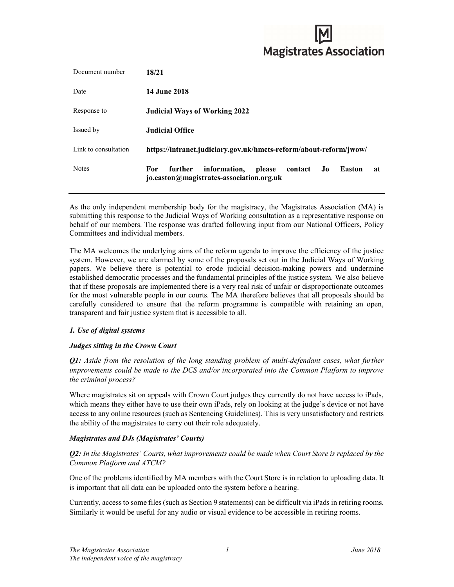# **Magistrates Association**

| Document number      | 18/21                                                                                                                         |
|----------------------|-------------------------------------------------------------------------------------------------------------------------------|
| Date                 | <b>14 June 2018</b>                                                                                                           |
| Response to          | <b>Judicial Ways of Working 2022</b>                                                                                          |
| Issued by            | Judicial Office                                                                                                               |
| Link to consultation | https://intranet.judiciary.gov.uk/hmcts-reform/about-reform/jwow/                                                             |
| <b>Notes</b>         | information,<br><b>Easton</b><br>further<br>please<br>contact<br>Jo<br>For.<br>at<br>jo.easton@magistrates-association.org.uk |

As the only independent membership body for the magistracy, the Magistrates Association (MA) is submitting this response to the Judicial Ways of Working consultation as a representative response on behalf of our members. The response was drafted following input from our National Officers, Policy Committees and individual members.

The MA welcomes the underlying aims of the reform agenda to improve the efficiency of the justice system. However, we are alarmed by some of the proposals set out in the Judicial Ways of Working papers. We believe there is potential to erode judicial decision-making powers and undermine established democratic processes and the fundamental principles of the justice system. We also believe that if these proposals are implemented there is a very real risk of unfair or disproportionate outcomes for the most vulnerable people in our courts. The MA therefore believes that all proposals should be carefully considered to ensure that the reform programme is compatible with retaining an open, transparent and fair justice system that is accessible to all.

# 1. Use of digital systems

# Judges sitting in the Crown Court

Q1: Aside from the resolution of the long standing problem of multi-defendant cases, what further improvements could be made to the DCS and/or incorporated into the Common Platform to improve the criminal process?

Where magistrates sit on appeals with Crown Court judges they currently do not have access to iPads, which means they either have to use their own iPads, rely on looking at the judge's device or not have access to any online resources (such as Sentencing Guidelines). This is very unsatisfactory and restricts the ability of the magistrates to carry out their role adequately.

# Magistrates and DJs (Magistrates' Courts)

 $Q2$ : In the Magistrates' Courts, what improvements could be made when Court Store is replaced by the Common Platform and ATCM?

One of the problems identified by MA members with the Court Store is in relation to uploading data. It is important that all data can be uploaded onto the system before a hearing.

Currently, access to some files (such as Section 9 statements) can be difficult via iPads in retiring rooms. Similarly it would be useful for any audio or visual evidence to be accessible in retiring rooms.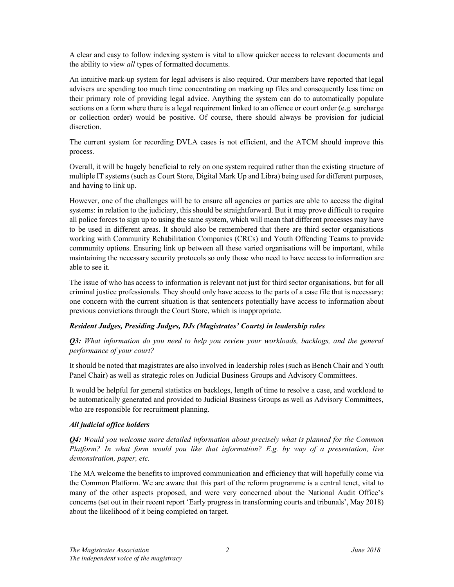A clear and easy to follow indexing system is vital to allow quicker access to relevant documents and the ability to view *all* types of formatted documents.

An intuitive mark-up system for legal advisers is also required. Our members have reported that legal advisers are spending too much time concentrating on marking up files and consequently less time on their primary role of providing legal advice. Anything the system can do to automatically populate sections on a form where there is a legal requirement linked to an offence or court order (e.g. surcharge or collection order) would be positive. Of course, there should always be provision for judicial discretion.

The current system for recording DVLA cases is not efficient, and the ATCM should improve this process.

Overall, it will be hugely beneficial to rely on one system required rather than the existing structure of multiple IT systems (such as Court Store, Digital Mark Up and Libra) being used for different purposes, and having to link up.

However, one of the challenges will be to ensure all agencies or parties are able to access the digital systems: in relation to the judiciary, this should be straightforward. But it may prove difficult to require all police forces to sign up to using the same system, which will mean that different processes may have to be used in different areas. It should also be remembered that there are third sector organisations working with Community Rehabilitation Companies (CRCs) and Youth Offending Teams to provide community options. Ensuring link up between all these varied organisations will be important, while maintaining the necessary security protocols so only those who need to have access to information are able to see it.

The issue of who has access to information is relevant not just for third sector organisations, but for all criminal justice professionals. They should only have access to the parts of a case file that is necessary: one concern with the current situation is that sentencers potentially have access to information about previous convictions through the Court Store, which is inappropriate.

# Resident Judges, Presiding Judges, DJs (Magistrates' Courts) in leadership roles

**Q3:** What information do you need to help you review your workloads, backlogs, and the general performance of your court?

It should be noted that magistrates are also involved in leadership roles (such as Bench Chair and Youth Panel Chair) as well as strategic roles on Judicial Business Groups and Advisory Committees.

It would be helpful for general statistics on backlogs, length of time to resolve a case, and workload to be automatically generated and provided to Judicial Business Groups as well as Advisory Committees, who are responsible for recruitment planning.

# All judicial office holders

Q4: Would you welcome more detailed information about precisely what is planned for the Common Platform? In what form would you like that information? E.g. by way of a presentation, live demonstration, paper, etc.

The MA welcome the benefits to improved communication and efficiency that will hopefully come via the Common Platform. We are aware that this part of the reform programme is a central tenet, vital to many of the other aspects proposed, and were very concerned about the National Audit Office's concerns (set out in their recent report 'Early progress in transforming courts and tribunals', May 2018) about the likelihood of it being completed on target.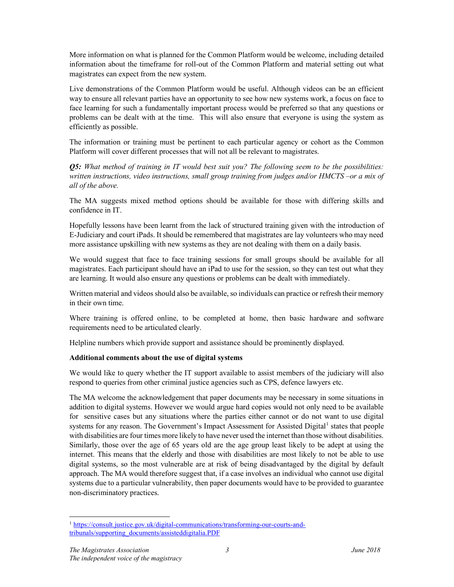More information on what is planned for the Common Platform would be welcome, including detailed information about the timeframe for roll-out of the Common Platform and material setting out what magistrates can expect from the new system.

Live demonstrations of the Common Platform would be useful. Although videos can be an efficient way to ensure all relevant parties have an opportunity to see how new systems work, a focus on face to face learning for such a fundamentally important process would be preferred so that any questions or problems can be dealt with at the time. This will also ensure that everyone is using the system as efficiently as possible.

The information or training must be pertinent to each particular agency or cohort as the Common Platform will cover different processes that will not all be relevant to magistrates.

**Q5:** What method of training in IT would best suit you? The following seem to be the possibilities: written instructions, video instructions, small group training from judges and/or HMCTS –or a mix of all of the above.

The MA suggests mixed method options should be available for those with differing skills and confidence in IT.

Hopefully lessons have been learnt from the lack of structured training given with the introduction of E-Judiciary and court iPads. It should be remembered that magistrates are lay volunteers who may need more assistance upskilling with new systems as they are not dealing with them on a daily basis.

We would suggest that face to face training sessions for small groups should be available for all magistrates. Each participant should have an iPad to use for the session, so they can test out what they are learning. It would also ensure any questions or problems can be dealt with immediately.

Written material and videos should also be available, so individuals can practice or refresh their memory in their own time.

Where training is offered online, to be completed at home, then basic hardware and software requirements need to be articulated clearly.

Helpline numbers which provide support and assistance should be prominently displayed.

# Additional comments about the use of digital systems

We would like to query whether the IT support available to assist members of the judiciary will also respond to queries from other criminal justice agencies such as CPS, defence lawyers etc.

The MA welcome the acknowledgement that paper documents may be necessary in some situations in addition to digital systems. However we would argue hard copies would not only need to be available for sensitive cases but any situations where the parties either cannot or do not want to use digital systems for any reason. The Government's Impact Assessment for Assisted Digital<sup>1</sup> states that people with disabilities are four times more likely to have never used the internet than those without disabilities. Similarly, those over the age of 65 years old are the age group least likely to be adept at using the internet. This means that the elderly and those with disabilities are most likely to not be able to use digital systems, so the most vulnerable are at risk of being disadvantaged by the digital by default approach. The MA would therefore suggest that, if a case involves an individual who cannot use digital systems due to a particular vulnerability, then paper documents would have to be provided to guarantee non-discriminatory practices.

<sup>-</sup><sup>1</sup> https://consult.justice.gov.uk/digital-communications/transforming-our-courts-andtribunals/supporting\_documents/assisteddigitalia.PDF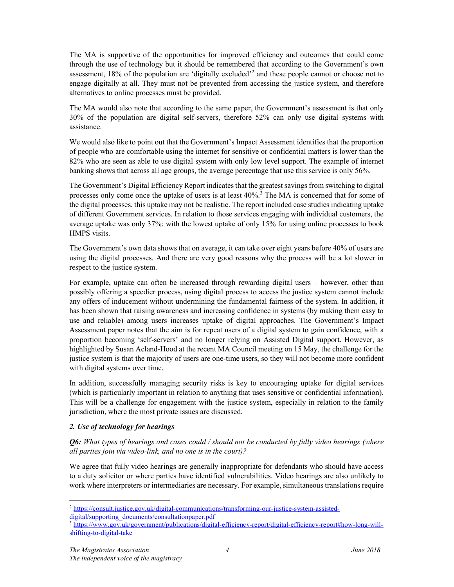The MA is supportive of the opportunities for improved efficiency and outcomes that could come through the use of technology but it should be remembered that according to the Government's own assessment, 18% of the population are 'digitally excluded'<sup>2</sup> and these people cannot or choose not to engage digitally at all. They must not be prevented from accessing the justice system, and therefore alternatives to online processes must be provided.

The MA would also note that according to the same paper, the Government's assessment is that only 30% of the population are digital self-servers, therefore 52% can only use digital systems with assistance.

We would also like to point out that the Government's Impact Assessment identifies that the proportion of people who are comfortable using the internet for sensitive or confidential matters is lower than the 82% who are seen as able to use digital system with only low level support. The example of internet banking shows that across all age groups, the average percentage that use this service is only 56%.

The Government's Digital Efficiency Report indicates that the greatest savings from switching to digital processes only come once the uptake of users is at least 40%.<sup>3</sup> The MA is concerned that for some of the digital processes, this uptake may not be realistic. The report included case studies indicating uptake of different Government services. In relation to those services engaging with individual customers, the average uptake was only 37%: with the lowest uptake of only 15% for using online processes to book HMPS visits.

The Government's own data shows that on average, it can take over eight years before 40% of users are using the digital processes. And there are very good reasons why the process will be a lot slower in respect to the justice system.

For example, uptake can often be increased through rewarding digital users – however, other than possibly offering a speedier process, using digital process to access the justice system cannot include any offers of inducement without undermining the fundamental fairness of the system. In addition, it has been shown that raising awareness and increasing confidence in systems (by making them easy to use and reliable) among users increases uptake of digital approaches. The Government's Impact Assessment paper notes that the aim is for repeat users of a digital system to gain confidence, with a proportion becoming 'self-servers' and no longer relying on Assisted Digital support. However, as highlighted by Susan Acland-Hood at the recent MA Council meeting on 15 May, the challenge for the justice system is that the majority of users are one-time users, so they will not become more confident with digital systems over time.

In addition, successfully managing security risks is key to encouraging uptake for digital services (which is particularly important in relation to anything that uses sensitive or confidential information). This will be a challenge for engagement with the justice system, especially in relation to the family jurisdiction, where the most private issues are discussed.

# 2. Use of technology for hearings

**O6:** What types of hearings and cases could / should not be conducted by fully video hearings (where all parties join via video-link, and no one is in the court)?

We agree that fully video hearings are generally inappropriate for defendants who should have access to a duty solicitor or where parties have identified vulnerabilities. Video hearings are also unlikely to work where interpreters or intermediaries are necessary. For example, simultaneous translations require

-

<sup>2</sup> https://consult.justice.gov.uk/digital-communications/transforming-our-justice-system-assisteddigital/supporting\_documents/consultationpaper.pdf

<sup>3</sup> https://www.gov.uk/government/publications/digital-efficiency-report/digital-efficiency-report#how-long-willshifting-to-digital-take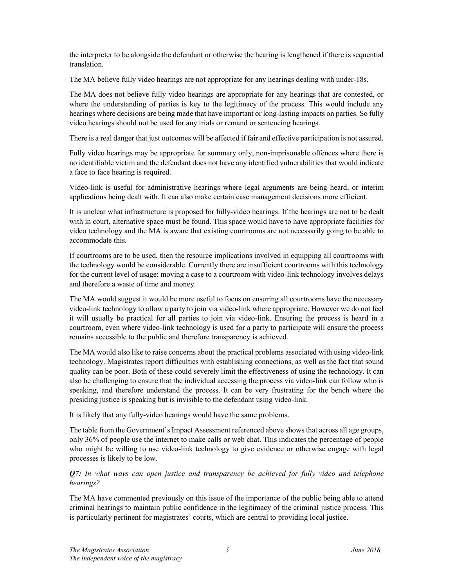the interpreter to be alongside the defendant or otherwise the hearing is lengthened if there is sequential translation.

The MA believe fully video hearings are not appropriate for any hearings dealing with under-18s.

The MA does not believe fully video hearings are appropriate for any hearings that are contested, or where the understanding of parties is key to the legitimacy of the process. This would include any hearings where decisions are being made that have important or long-lasting impacts on parties. So fully video hearings should not be used for any trials or remand or sentencing hearings.

There is a real danger that just outcomes will be affected if fair and effective participation is not assured.

Fully video hearings may be appropriate for summary only, non-imprisonable offences where there is no identifiable victim and the defendant does not have any identified vulnerabilities that would indicate a face to face hearing is required.

Video-link is useful for administrative hearings where legal arguments are being heard, or interim applications being dealt with. It can also make certain case management decisions more efficient.

It is unclear what infrastructure is proposed for fully-video hearings. If the hearings are not to be dealt with in court, alternative space must be found. This space would have to have appropriate facilities for video technology and the MA is aware that existing courtrooms are not necessarily going to be able to accommodate this.

If courtrooms are to be used, then the resource implications involved in equipping all courtrooms with the technology would be considerable. Currently there are insufficient courtrooms with this technology for the current level of usage: moving a case to a courtroom with video-link technology involves delays and therefore a waste of time and money.

The MA would suggest it would be more useful to focus on ensuring all courtrooms have the necessary video-link technology to allow a party to join via video-link where appropriate. However we do not feel it will usually be practical for all parties to join via video-link. Ensuring the process is heard in a courtroom, even where video-link technology is used for a party to participate will ensure the process remains accessible to the public and therefore transparency is achieved.

The MA would also like to raise concerns about the practical problems associated with using video-link technology. Magistrates report difficulties with establishing connections, as well as the fact that sound quality can be poor. Both of these could severely limit the effectiveness of using the technology. It can also be challenging to ensure that the individual accessing the process via video-link can follow who is speaking, and therefore understand the process. It can be very frustrating for the bench where the presiding justice is speaking but is invisible to the defendant using video-link.

It is likely that any fully-video hearings would have the same problems.

The table from the Government's Impact Assessment referenced above shows that across all age groups, only 36% of people use the internet to make calls or web chat. This indicates the percentage of people who might be willing to use video-link technology to give evidence or otherwise engage with legal processes is likely to be low.

# Q7: In what ways can open justice and transparency be achieved for fully video and telephone hearings?

The MA have commented previously on this issue of the importance of the public being able to attend criminal hearings to maintain public confidence in the legitimacy of the criminal justice process. This is particularly pertinent for magistrates' courts, which are central to providing local justice.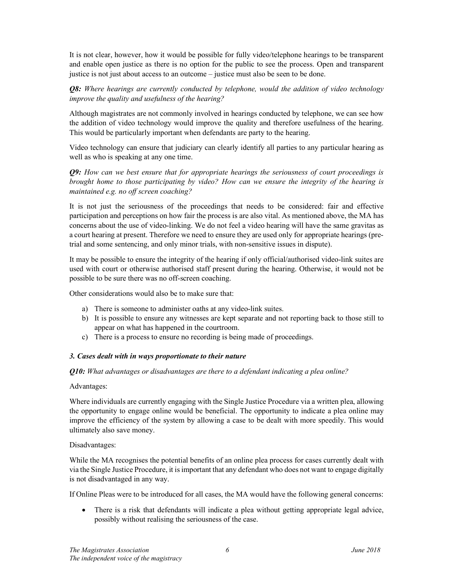It is not clear, however, how it would be possible for fully video/telephone hearings to be transparent and enable open justice as there is no option for the public to see the process. Open and transparent justice is not just about access to an outcome – justice must also be seen to be done.

**Q8:** Where hearings are currently conducted by telephone, would the addition of video technology improve the quality and usefulness of the hearing?

Although magistrates are not commonly involved in hearings conducted by telephone, we can see how the addition of video technology would improve the quality and therefore usefulness of the hearing. This would be particularly important when defendants are party to the hearing.

Video technology can ensure that judiciary can clearly identify all parties to any particular hearing as well as who is speaking at any one time.

Q9: How can we best ensure that for appropriate hearings the seriousness of court proceedings is brought home to those participating by video? How can we ensure the integrity of the hearing is maintained e.g. no off screen coaching?

It is not just the seriousness of the proceedings that needs to be considered: fair and effective participation and perceptions on how fair the process is are also vital. As mentioned above, the MA has concerns about the use of video-linking. We do not feel a video hearing will have the same gravitas as a court hearing at present. Therefore we need to ensure they are used only for appropriate hearings (pretrial and some sentencing, and only minor trials, with non-sensitive issues in dispute).

It may be possible to ensure the integrity of the hearing if only official/authorised video-link suites are used with court or otherwise authorised staff present during the hearing. Otherwise, it would not be possible to be sure there was no off-screen coaching.

Other considerations would also be to make sure that:

- a) There is someone to administer oaths at any video-link suites.
- b) It is possible to ensure any witnesses are kept separate and not reporting back to those still to appear on what has happened in the courtroom.
- c) There is a process to ensure no recording is being made of proceedings.

#### 3. Cases dealt with in ways proportionate to their nature

#### Q10: What advantages or disadvantages are there to a defendant indicating a plea online?

#### Advantages:

Where individuals are currently engaging with the Single Justice Procedure via a written plea, allowing the opportunity to engage online would be beneficial. The opportunity to indicate a plea online may improve the efficiency of the system by allowing a case to be dealt with more speedily. This would ultimately also save money.

Disadvantages:

While the MA recognises the potential benefits of an online plea process for cases currently dealt with via the Single Justice Procedure, it is important that any defendant who does not want to engage digitally is not disadvantaged in any way.

If Online Pleas were to be introduced for all cases, the MA would have the following general concerns:

 There is a risk that defendants will indicate a plea without getting appropriate legal advice, possibly without realising the seriousness of the case.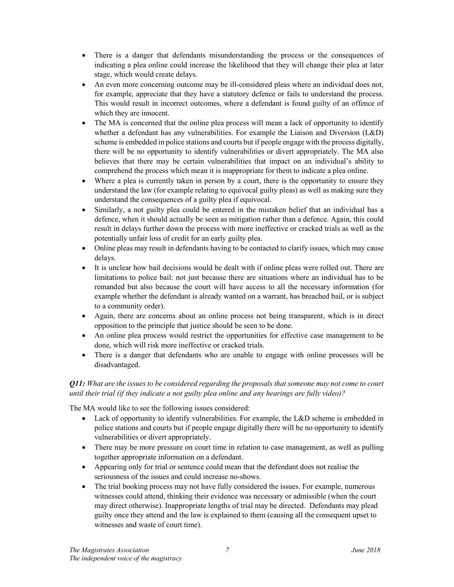- There is a danger that defendants misunderstanding the process or the consequences of indicating a plea online could increase the likelihood that they will change their plea at later stage, which would create delays.
- An even more concerning outcome may be ill-considered pleas where an individual does not, for example, appreciate that they have a statutory defence or fails to understand the process. This would result in incorrect outcomes, where a defendant is found guilty of an offence of which they are innocent.
- The MA is concerned that the online plea process will mean a lack of opportunity to identify whether a defendant has any vulnerabilities. For example the Liaison and Diversion (L&D) scheme is embedded in police stations and courts but if people engage with the process digitally, there will be no opportunity to identify vulnerabilities or divert appropriately. The MA also believes that there may be certain vulnerabilities that impact on an individual's ability to comprehend the process which mean it is inappropriate for them to indicate a plea online.
- Where a plea is currently taken in person by a court, there is the opportunity to ensure they understand the law (for example relating to equivocal guilty pleas) as well as making sure they understand the consequences of a guilty plea if equivocal.
- Similarly, a not guilty plea could be entered in the mistaken belief that an individual has a defence, when it should actually be seen as mitigation rather than a defence. Again, this could result in delays further down the process with more ineffective or cracked trials as well as the potentially unfair loss of credit for an early guilty plea.
- Online pleas may result in defendants having to be contacted to clarify issues, which may cause delays.
- It is unclear how bail decisions would be dealt with if online pleas were rolled out. There are limitations to police bail: not just because there are situations where an individual has to be remanded but also because the court will have access to all the necessary information (for example whether the defendant is already wanted on a warrant, has breached bail, or is subject to a community order).
- Again, there are concerns about an online process not being transparent, which is in direct opposition to the principle that justice should be seen to be done.
- An online plea process would restrict the opportunities for effective case management to be done, which will risk more ineffective or cracked trials.
- There is a danger that defendants who are unable to engage with online processes will be disadvantaged.

# $Q11$ : What are the issues to be considered regarding the proposals that someone may not come to court until their trial (if they indicate a not guilty plea online and any hearings are fully video)?

The MA would like to see the following issues considered:

- Lack of opportunity to identify vulnerabilities. For example, the L&D scheme is embedded in police stations and courts but if people engage digitally there will be no opportunity to identify vulnerabilities or divert appropriately.
- There may be more pressure on court time in relation to case management, as well as pulling together appropriate information on a defendant.
- Appearing only for trial or sentence could mean that the defendant does not realise the seriousness of the issues and could increase no-shows.
- The trial booking process may not have fully considered the issues. For example, numerous witnesses could attend, thinking their evidence was necessary or admissible (when the court may direct otherwise). Inappropriate lengths of trial may be directed. Defendants may plead guilty once they attend and the law is explained to them (causing all the consequent upset to witnesses and waste of court time).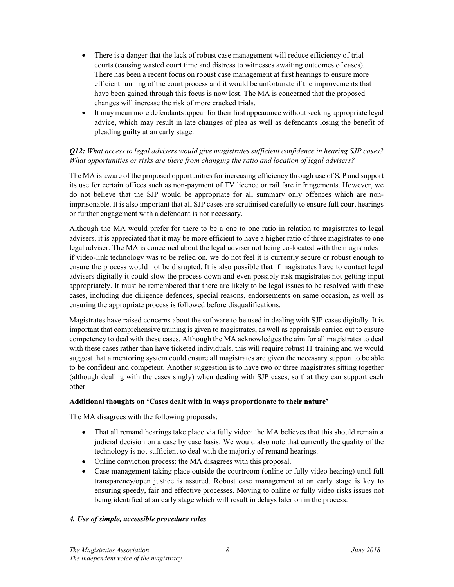- There is a danger that the lack of robust case management will reduce efficiency of trial courts (causing wasted court time and distress to witnesses awaiting outcomes of cases). There has been a recent focus on robust case management at first hearings to ensure more efficient running of the court process and it would be unfortunate if the improvements that have been gained through this focus is now lost. The MA is concerned that the proposed changes will increase the risk of more cracked trials.
- It may mean more defendants appear for their first appearance without seeking appropriate legal advice, which may result in late changes of plea as well as defendants losing the benefit of pleading guilty at an early stage.

# Q12: What access to legal advisers would give magistrates sufficient confidence in hearing SJP cases? What opportunities or risks are there from changing the ratio and location of legal advisers?

The MA is aware of the proposed opportunities for increasing efficiency through use of SJP and support its use for certain offices such as non-payment of TV licence or rail fare infringements. However, we do not believe that the SJP would be appropriate for all summary only offences which are nonimprisonable. It is also important that all SJP cases are scrutinised carefully to ensure full court hearings or further engagement with a defendant is not necessary.

Although the MA would prefer for there to be a one to one ratio in relation to magistrates to legal advisers, it is appreciated that it may be more efficient to have a higher ratio of three magistrates to one legal adviser. The MA is concerned about the legal adviser not being co-located with the magistrates – if video-link technology was to be relied on, we do not feel it is currently secure or robust enough to ensure the process would not be disrupted. It is also possible that if magistrates have to contact legal advisers digitally it could slow the process down and even possibly risk magistrates not getting input appropriately. It must be remembered that there are likely to be legal issues to be resolved with these cases, including due diligence defences, special reasons, endorsements on same occasion, as well as ensuring the appropriate process is followed before disqualifications.

Magistrates have raised concerns about the software to be used in dealing with SJP cases digitally. It is important that comprehensive training is given to magistrates, as well as appraisals carried out to ensure competency to deal with these cases. Although the MA acknowledges the aim for all magistrates to deal with these cases rather than have ticketed individuals, this will require robust IT training and we would suggest that a mentoring system could ensure all magistrates are given the necessary support to be able to be confident and competent. Another suggestion is to have two or three magistrates sitting together (although dealing with the cases singly) when dealing with SJP cases, so that they can support each other.

#### Additional thoughts on 'Cases dealt with in ways proportionate to their nature'

The MA disagrees with the following proposals:

- That all remand hearings take place via fully video: the MA believes that this should remain a judicial decision on a case by case basis. We would also note that currently the quality of the technology is not sufficient to deal with the majority of remand hearings.
- Online conviction process: the MA disagrees with this proposal.
- Case management taking place outside the courtroom (online or fully video hearing) until full transparency/open justice is assured. Robust case management at an early stage is key to ensuring speedy, fair and effective processes. Moving to online or fully video risks issues not being identified at an early stage which will result in delays later on in the process.

#### 4. Use of simple, accessible procedure rules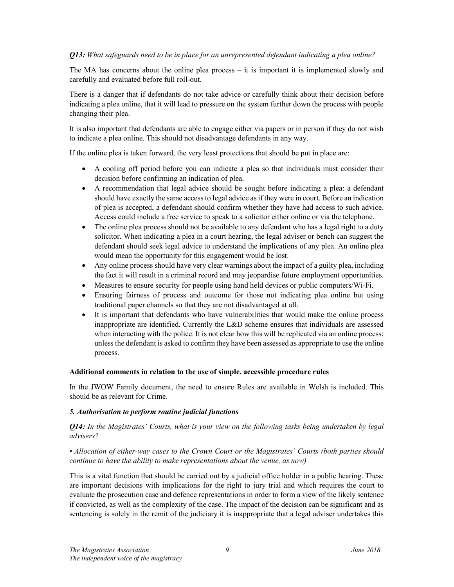## **O13:** What safeguards need to be in place for an unrepresented defendant indicating a plea online?

The MA has concerns about the online plea process – it is important it is implemented slowly and carefully and evaluated before full roll-out.

There is a danger that if defendants do not take advice or carefully think about their decision before indicating a plea online, that it will lead to pressure on the system further down the process with people changing their plea.

It is also important that defendants are able to engage either via papers or in person if they do not wish to indicate a plea online. This should not disadvantage defendants in any way.

If the online plea is taken forward, the very least protections that should be put in place are:

- A cooling off period before you can indicate a plea so that individuals must consider their decision before confirming an indication of plea.
- A recommendation that legal advice should be sought before indicating a plea: a defendant should have exactly the same access to legal advice as if they were in court. Before an indication of plea is accepted, a defendant should confirm whether they have had access to such advice. Access could include a free service to speak to a solicitor either online or via the telephone.
- The online plea process should not be available to any defendant who has a legal right to a duty solicitor. When indicating a plea in a court hearing, the legal adviser or bench can suggest the defendant should seek legal advice to understand the implications of any plea. An online plea would mean the opportunity for this engagement would be lost.
- Any online process should have very clear warnings about the impact of a guilty plea, including the fact it will result in a criminal record and may jeopardise future employment opportunities.
- Measures to ensure security for people using hand held devices or public computers/Wi-Fi.
- Ensuring fairness of process and outcome for those not indicating plea online but using traditional paper channels so that they are not disadvantaged at all.
- It is important that defendants who have vulnerabilities that would make the online process inappropriate are identified. Currently the L&D scheme ensures that individuals are assessed when interacting with the police. It is not clear how this will be replicated via an online process: unless the defendant is asked to confirm they have been assessed as appropriate to use the online process.

#### Additional comments in relation to the use of simple, accessible procedure rules

In the JWOW Family document, the need to ensure Rules are available in Welsh is included. This should be as relevant for Crime.

#### 5. Authorisation to perform routine judicial functions

**O14:** In the Magistrates' Courts, what is your view on the following tasks being undertaken by legal advisers?

• Allocation of either-way cases to the Crown Court or the Magistrates' Courts (both parties should continue to have the ability to make representations about the venue, as now)

This is a vital function that should be carried out by a judicial office holder in a public hearing. These are important decisions with implications for the right to jury trial and which requires the court to evaluate the prosecution case and defence representations in order to form a view of the likely sentence if convicted, as well as the complexity of the case. The impact of the decision can be significant and as sentencing is solely in the remit of the judiciary it is inappropriate that a legal adviser undertakes this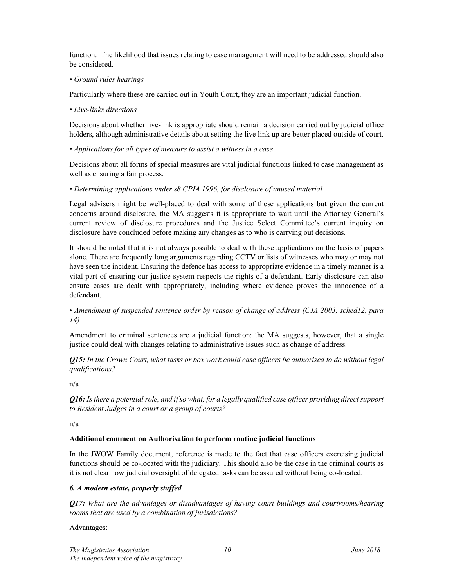function. The likelihood that issues relating to case management will need to be addressed should also be considered.

# • Ground rules hearings

Particularly where these are carried out in Youth Court, they are an important judicial function.

## • Live-links directions

Decisions about whether live-link is appropriate should remain a decision carried out by judicial office holders, although administrative details about setting the live link up are better placed outside of court.

# • Applications for all types of measure to assist a witness in a case

Decisions about all forms of special measures are vital judicial functions linked to case management as well as ensuring a fair process.

# • Determining applications under s8 CPIA 1996, for disclosure of unused material

Legal advisers might be well-placed to deal with some of these applications but given the current concerns around disclosure, the MA suggests it is appropriate to wait until the Attorney General's current review of disclosure procedures and the Justice Select Committee's current inquiry on disclosure have concluded before making any changes as to who is carrying out decisions.

It should be noted that it is not always possible to deal with these applications on the basis of papers alone. There are frequently long arguments regarding CCTV or lists of witnesses who may or may not have seen the incident. Ensuring the defence has access to appropriate evidence in a timely manner is a vital part of ensuring our justice system respects the rights of a defendant. Early disclosure can also ensure cases are dealt with appropriately, including where evidence proves the innocence of a defendant.

# • Amendment of suspended sentence order by reason of change of address (CJA 2003, sched12, para 14)

Amendment to criminal sentences are a judicial function: the MA suggests, however, that a single justice could deal with changes relating to administrative issues such as change of address.

**O15:** In the Crown Court, what tasks or box work could case officers be authorised to do without legal qualifications?

n/a

Q16: Is there a potential role, and if so what, for a legally qualified case officer providing direct support to Resident Judges in a court or a group of courts?

n/a

# Additional comment on Authorisation to perform routine judicial functions

In the JWOW Family document, reference is made to the fact that case officers exercising judicial functions should be co-located with the judiciary. This should also be the case in the criminal courts as it is not clear how judicial oversight of delegated tasks can be assured without being co-located.

# 6. A modern estate, properly staffed

**Q17:** What are the advantages or disadvantages of having court buildings and courtrooms/hearing rooms that are used by a combination of jurisdictions?

Advantages: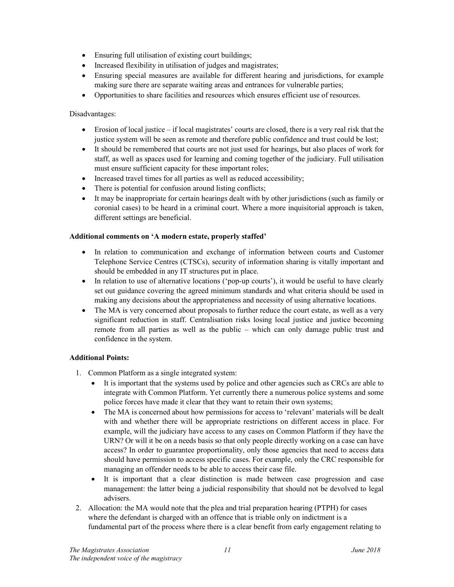- Ensuring full utilisation of existing court buildings;
- Increased flexibility in utilisation of judges and magistrates;
- Ensuring special measures are available for different hearing and jurisdictions, for example making sure there are separate waiting areas and entrances for vulnerable parties;
- Opportunities to share facilities and resources which ensures efficient use of resources.

## Disadvantages:

- Erosion of local justice if local magistrates' courts are closed, there is a very real risk that the justice system will be seen as remote and therefore public confidence and trust could be lost;
- It should be remembered that courts are not just used for hearings, but also places of work for staff, as well as spaces used for learning and coming together of the judiciary. Full utilisation must ensure sufficient capacity for these important roles;
- Increased travel times for all parties as well as reduced accessibility;
- There is potential for confusion around listing conflicts;
- It may be inappropriate for certain hearings dealt with by other jurisdictions (such as family or coronial cases) to be heard in a criminal court. Where a more inquisitorial approach is taken, different settings are beneficial.

## Additional comments on 'A modern estate, properly staffed'

- In relation to communication and exchange of information between courts and Customer Telephone Service Centres (CTSCs), security of information sharing is vitally important and should be embedded in any IT structures put in place.
- In relation to use of alternative locations ('pop-up courts'), it would be useful to have clearly set out guidance covering the agreed minimum standards and what criteria should be used in making any decisions about the appropriateness and necessity of using alternative locations.
- The MA is very concerned about proposals to further reduce the court estate, as well as a very significant reduction in staff. Centralisation risks losing local justice and justice becoming remote from all parties as well as the public – which can only damage public trust and confidence in the system.

# Additional Points:

- 1. Common Platform as a single integrated system:
	- It is important that the systems used by police and other agencies such as CRCs are able to integrate with Common Platform. Yet currently there a numerous police systems and some police forces have made it clear that they want to retain their own systems;
	- The MA is concerned about how permissions for access to 'relevant' materials will be dealt with and whether there will be appropriate restrictions on different access in place. For example, will the judiciary have access to any cases on Common Platform if they have the URN? Or will it be on a needs basis so that only people directly working on a case can have access? In order to guarantee proportionality, only those agencies that need to access data should have permission to access specific cases. For example, only the CRC responsible for managing an offender needs to be able to access their case file.
	- It is important that a clear distinction is made between case progression and case management: the latter being a judicial responsibility that should not be devolved to legal advisers.
- 2. Allocation: the MA would note that the plea and trial preparation hearing (PTPH) for cases where the defendant is charged with an offence that is triable only on indictment is a fundamental part of the process where there is a clear benefit from early engagement relating to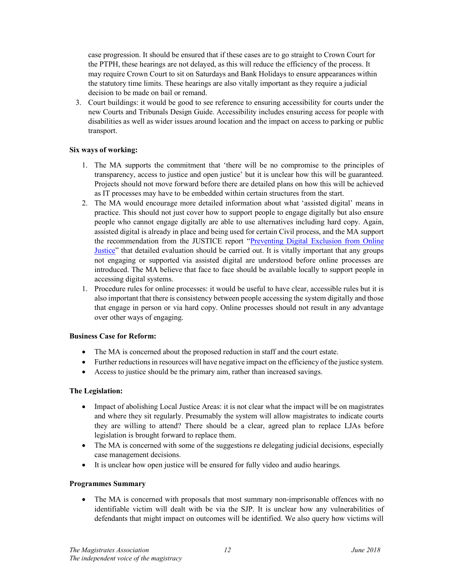case progression. It should be ensured that if these cases are to go straight to Crown Court for the PTPH, these hearings are not delayed, as this will reduce the efficiency of the process. It may require Crown Court to sit on Saturdays and Bank Holidays to ensure appearances within the statutory time limits. These hearings are also vitally important as they require a judicial decision to be made on bail or remand.

3. Court buildings: it would be good to see reference to ensuring accessibility for courts under the new Courts and Tribunals Design Guide. Accessibility includes ensuring access for people with disabilities as well as wider issues around location and the impact on access to parking or public transport.

## Six ways of working:

- 1. The MA supports the commitment that 'there will be no compromise to the principles of transparency, access to justice and open justice' but it is unclear how this will be guaranteed. Projects should not move forward before there are detailed plans on how this will be achieved as IT processes may have to be embedded within certain structures from the start.
- 2. The MA would encourage more detailed information about what 'assisted digital' means in practice. This should not just cover how to support people to engage digitally but also ensure people who cannot engage digitally are able to use alternatives including hard copy. Again, assisted digital is already in place and being used for certain Civil process, and the MA support the recommendation from the JUSTICE report "Preventing Digital Exclusion from Online Justice" that detailed evaluation should be carried out. It is vitally important that any groups not engaging or supported via assisted digital are understood before online processes are introduced. The MA believe that face to face should be available locally to support people in accessing digital systems.
- 1. Procedure rules for online processes: it would be useful to have clear, accessible rules but it is also important that there is consistency between people accessing the system digitally and those that engage in person or via hard copy. Online processes should not result in any advantage over other ways of engaging.

# Business Case for Reform:

- The MA is concerned about the proposed reduction in staff and the court estate.
- Further reductions in resources will have negative impact on the efficiency of the justice system.
- Access to justice should be the primary aim, rather than increased savings.

#### The Legislation:

- Impact of abolishing Local Justice Areas: it is not clear what the impact will be on magistrates and where they sit regularly. Presumably the system will allow magistrates to indicate courts they are willing to attend? There should be a clear, agreed plan to replace LJAs before legislation is brought forward to replace them.
- The MA is concerned with some of the suggestions re delegating judicial decisions, especially case management decisions.
- It is unclear how open justice will be ensured for fully video and audio hearings.

#### Programmes Summary

• The MA is concerned with proposals that most summary non-imprisonable offences with no identifiable victim will dealt with be via the SJP. It is unclear how any vulnerabilities of defendants that might impact on outcomes will be identified. We also query how victims will